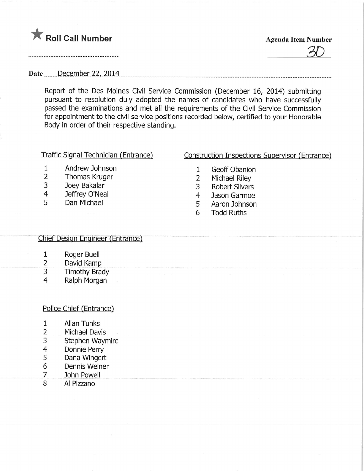

30

Date <u>December 22, 2014</u>

Report of the Des Moines Civil Service Commission (December 16, 2014) submitting pursuant to resolution duly adopted the names of candidates who have successfully passed the examinations and met all the requirements of the Civil Service Commission for appointment to the civil service positions recorded below, certified to your Honorable Body in order of their respective standing.

### Traffic Signal Technician (Entrance)

# Construction Inspections Supervisor (Entrance)

- 1 Andrew Johnson
- 2 Thomas Kruger<br>3 Joey Bakalar
- 3 Joey Bakalar<br>4 Jeffrev O'Nea
- 4 Jeffrey O'Neal<br>5 Dan Michael
- Dan Michael
- 1 Geoff Obanion
- 2 Michael Riley<br>3 Robert Silvers
- **Robert Silvers**
- 4 Jason Garmoe
- 5 Aaron Johnson
- 6 Todd Ruths

## Chief Design Engineer (Entrance)

- 1 Roger Buell
- 2 David Kamp
- 3 Timothy Brady
- 4 Ralph Morgan

## <u>Police Chief (Entrance)</u>

- 1 Allan Tunks
- 2 Michael Davis
- 3 Stephen Waymire
- 4 Donnie Perry
- 5 Dana Wingert
- 6 Dennis Weiner
- 7 John Powell
- 8 Al Pizzano